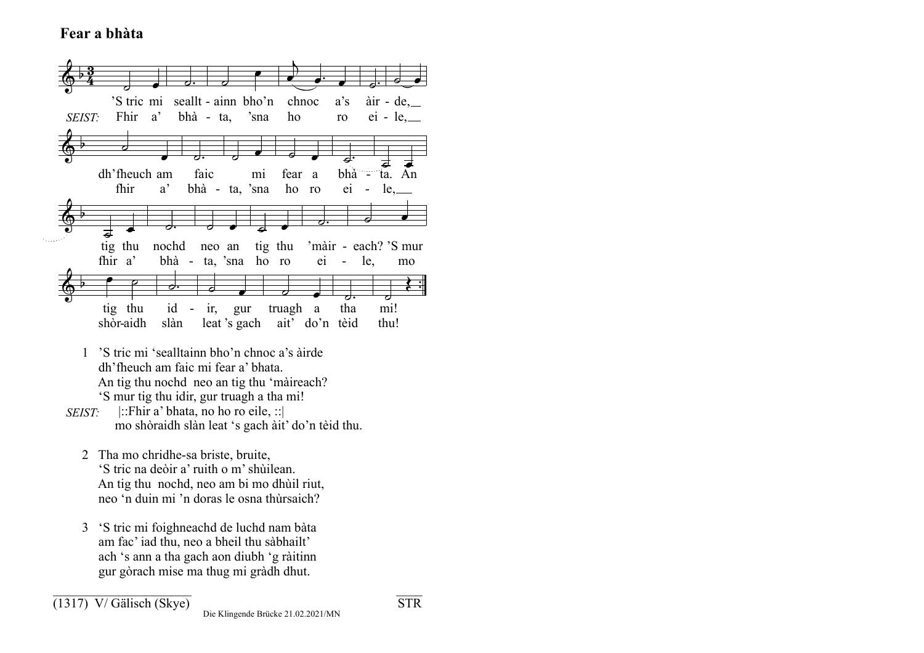## **Fear a bhàta**



- 1 'S tric mi 'sealltainn bho'n chnoc a's àirde dh'fheuch am faic mi fear a' bhata. An tig thu nochd neo an tig thu 'màireach? 'S mur tig thu idir, gur truagh a tha mi!
- *SEIST:* |::Fhir a' bhata, no ho ro eile, ::| mo shòraidh slàn leat 's gach àit' do'n tèid thu.
	- 2 Tha mo chridhe-sa briste, bruite, 'S tric na deòir a' ruith o m' shùilean. An tig thu nochd, neo am bi mo dhùil riut, neo 'n duin mi 'n doras le osna thùrsaich?
	- 3 'S tric mi foighneachd de luchd nam bàta am fac' iad thu, neo a bheil thu sàbhailt' ach 's ann a tha gach aon diubh 'g ràitinn gur gòrach mise ma thug mi gràdh dhut.